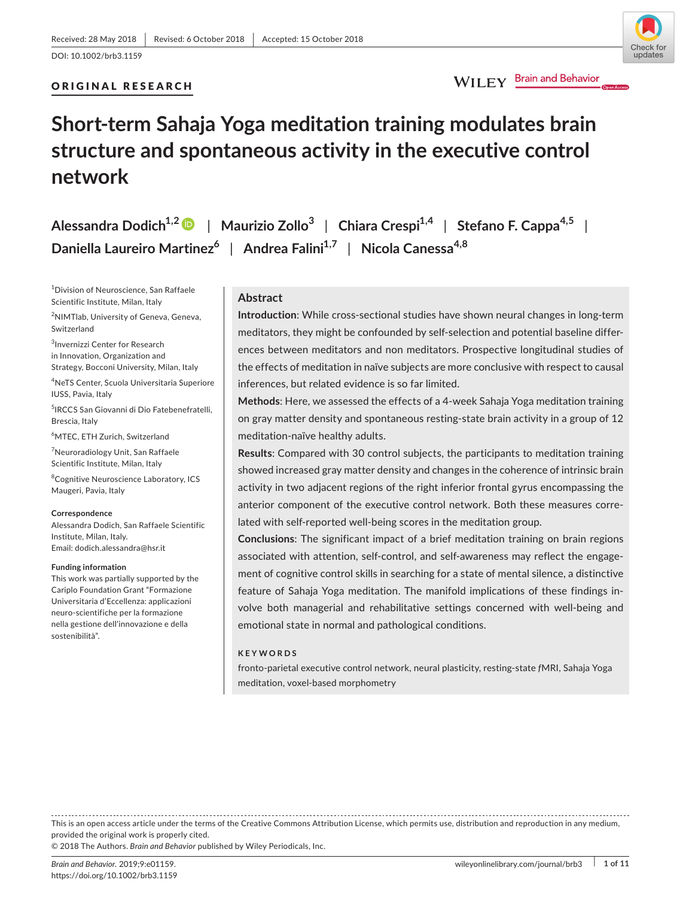# ORIGINAL RESEARCH

# WILEY Brain and Behavior

# **Short‐term Sahaja Yoga meditation training modulates brain structure and spontaneous activity in the executive control network**

**Alessandra Dodich1,[2](http://orcid.org/0000-0001-9140-0699)** | **Maurizio Zollo<sup>3</sup>** | **Chiara Crespi1,4** | **Stefano F. Cappa4,5** | **Daniella Laureiro Martinez<sup>6</sup>** | **Andrea Falini1,7** | **Nicola Canessa4,8**

1 Division of Neuroscience, San Raffaele Scientific Institute, Milan, Italy

2 NIMTlab, University of Geneva, Geneva, Switzerland

3 Invernizzi Center for Research in Innovation, Organization and Strategy, Bocconi University, Milan, Italy

4 NeTS Center, Scuola Universitaria Superiore IUSS, Pavia, Italy

5 IRCCS San Giovanni di Dio Fatebenefratelli, Brescia, Italy

6 MTEC, ETH Zurich, Switzerland

<sup>7</sup>Neuroradiology Unit, San Raffaele Scientific Institute, Milan, Italy

8 Cognitive Neuroscience Laboratory, ICS Maugeri, Pavia, Italy

#### **Correspondence**

Alessandra Dodich, San Raffaele Scientific Institute, Milan, Italy. Email: [dodich.alessandra@hsr.it](mailto:dodich.alessandra@hsr.it)

#### **Funding information**

This work was partially supported by the Cariplo Foundation Grant "Formazione Universitaria d'Eccellenza: applicazioni neuro‐scientifiche per la formazione nella gestione dell'innovazione e della sostenibilità".

# **Abstract**

**Introduction**: While cross‐sectional studies have shown neural changes in long‐term meditators, they might be confounded by self‐selection and potential baseline differ‐ ences between meditators and non meditators. Prospective longitudinal studies of the effects of meditation in naïve subjects are more conclusive with respect to causal inferences, but related evidence is so far limited.

**Methods**: Here, we assessed the effects of a 4‐week Sahaja Yoga meditation training on gray matter density and spontaneous resting‐state brain activity in a group of 12 meditation‐naïve healthy adults.

**Results**: Compared with 30 control subjects, the participants to meditation training showed increased gray matter density and changes in the coherence of intrinsic brain activity in two adjacent regions of the right inferior frontal gyrus encompassing the anterior component of the executive control network. Both these measures corre‐ lated with self-reported well-being scores in the meditation group.

**Conclusions**: The significant impact of a brief meditation training on brain regions associated with attention, self‐control, and self‐awareness may reflect the engage‐ ment of cognitive control skills in searching for a state of mental silence, a distinctive feature of Sahaja Yoga meditation. The manifold implications of these findings in‐ volve both managerial and rehabilitative settings concerned with well‐being and emotional state in normal and pathological conditions.

#### **KEYWORDS**

fronto‐parietal executive control network, neural plasticity, resting‐state *f*MRI, Sahaja Yoga meditation, voxel‐based morphometry

This is an open access article under the terms of the Creative Commons [Attribution](http://creativecommons.org/licenses/by/4.0/) License, which permits use, distribution and reproduction in any medium, provided the original work is properly cited.

© 2018 The Authors. *Brain and Behavior* published by Wiley Periodicals, Inc.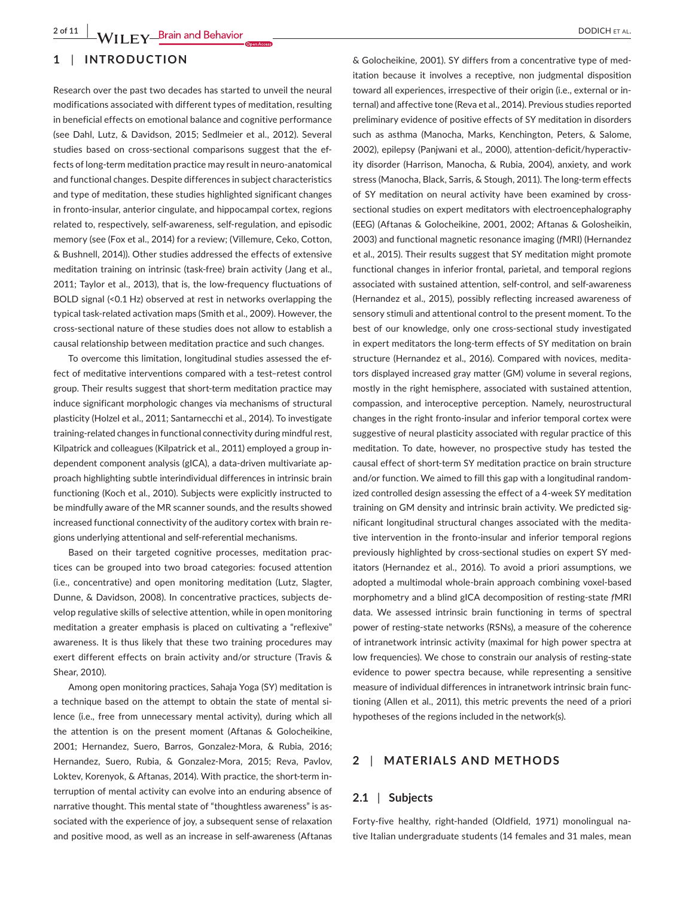# **1** | **INTRODUCTION**

Research over the past two decades has started to unveil the neural modifications associated with different types of meditation, resulting in beneficial effects on emotional balance and cognitive performance (see Dahl, Lutz, & Davidson, 2015; Sedlmeier et al., 2012). Several studies based on cross-sectional comparisons suggest that the effects of long‐term meditation practice may result in neuro‐anatomical and functional changes. Despite differences in subject characteristics and type of meditation, these studies highlighted significant changes in fronto-insular, anterior cingulate, and hippocampal cortex, regions related to, respectively, self‐awareness, self‐regulation, and episodic memory (see (Fox et al., 2014) for a review; (Villemure, Ceko, Cotton, & Bushnell, 2014)). Other studies addressed the effects of extensive meditation training on intrinsic (task-free) brain activity (Jang et al., 2011; Taylor et al., 2013), that is, the low-frequency fluctuations of BOLD signal (<0.1 Hz) observed at rest in networks overlapping the typical task‐related activation maps (Smith et al., 2009). However, the cross‐sectional nature of these studies does not allow to establish a causal relationship between meditation practice and such changes.

To overcome this limitation, longitudinal studies assessed the ef‐ fect of meditative interventions compared with a test–retest control group. Their results suggest that short‐term meditation practice may induce significant morphologic changes via mechanisms of structural plasticity (Holzel et al., 2011; Santarnecchi et al., 2014). To investigate training-related changes in functional connectivity during mindful rest, Kilpatrick and colleagues (Kilpatrick et al., 2011) employed a group in‐ dependent component analysis (gICA), a data‐driven multivariate ap‐ proach highlighting subtle interindividual differences in intrinsic brain functioning (Koch et al., 2010). Subjects were explicitly instructed to be mindfully aware of the MR scanner sounds, and the results showed increased functional connectivity of the auditory cortex with brain re‐ gions underlying attentional and self‐referential mechanisms.

Based on their targeted cognitive processes, meditation prac‐ tices can be grouped into two broad categories: focused attention (i.e., concentrative) and open monitoring meditation (Lutz, Slagter, Dunne, & Davidson, 2008). In concentrative practices, subjects de‐ velop regulative skills of selective attention, while in open monitoring meditation a greater emphasis is placed on cultivating a "reflexive" awareness. It is thus likely that these two training procedures may exert different effects on brain activity and/or structure (Travis & Shear, 2010).

Among open monitoring practices, Sahaja Yoga (SY) meditation is a technique based on the attempt to obtain the state of mental silence (i.e., free from unnecessary mental activity), during which all the attention is on the present moment (Aftanas & Golocheikine, 2001; Hernandez, Suero, Barros, Gonzalez‐Mora, & Rubia, 2016; Hernandez, Suero, Rubia, & Gonzalez‐Mora, 2015; Reva, Pavlov, Loktev, Korenyok, & Aftanas, 2014). With practice, the short-term interruption of mental activity can evolve into an enduring absence of narrative thought. This mental state of "thoughtless awareness" is associated with the experience of joy, a subsequent sense of relaxation and positive mood, as well as an increase in self‐awareness (Aftanas & Golocheikine, 2001). SY differs from a concentrative type of med‐ itation because it involves a receptive, non judgmental disposition toward all experiences, irrespective of their origin (i.e., external or in‐ ternal) and affective tone (Reva et al., 2014). Previous studies reported preliminary evidence of positive effects of SY meditation in disorders such as asthma (Manocha, Marks, Kenchington, Peters, & Salome, 2002), epilepsy (Panjwani et al., 2000), attention‐deficit/hyperactiv‐ ity disorder (Harrison, Manocha, & Rubia, 2004), anxiety, and work stress (Manocha, Black, Sarris, & Stough, 2011). The long-term effects of SY meditation on neural activity have been examined by cross‐ sectional studies on expert meditators with electroencephalography (EEG) (Aftanas & Golocheikine, 2001, 2002; Aftanas & Golosheikin, 2003) and functional magnetic resonance imaging (*f*MRI) (Hernandez et al., 2015). Their results suggest that SY meditation might promote functional changes in inferior frontal, parietal, and temporal regions associated with sustained attention, self‐control, and self‐awareness (Hernandez et al., 2015), possibly reflecting increased awareness of sensory stimuli and attentional control to the present moment. To the best of our knowledge, only one cross‐sectional study investigated in expert meditators the long-term effects of SY meditation on brain structure (Hernandez et al., 2016). Compared with novices, medita‐ tors displayed increased gray matter (GM) volume in several regions, mostly in the right hemisphere, associated with sustained attention, compassion, and interoceptive perception. Namely, neurostructural changes in the right fronto‐insular and inferior temporal cortex were suggestive of neural plasticity associated with regular practice of this meditation. To date, however, no prospective study has tested the causal effect of short‐term SY meditation practice on brain structure and/or function. We aimed to fill this gap with a longitudinal random‐ ized controlled design assessing the effect of a 4‐week SY meditation training on GM density and intrinsic brain activity. We predicted sig‐ nificant longitudinal structural changes associated with the medita‐ tive intervention in the fronto‐insular and inferior temporal regions previously highlighted by cross-sectional studies on expert SY meditators (Hernandez et al., 2016). To avoid a priori assumptions, we adopted a multimodal whole‐brain approach combining voxel‐based morphometry and a blind gICA decomposition of resting‐state *f*MRI data. We assessed intrinsic brain functioning in terms of spectral power of resting-state networks (RSNs), a measure of the coherence of intranetwork intrinsic activity (maximal for high power spectra at low frequencies). We chose to constrain our analysis of resting-state evidence to power spectra because, while representing a sensitive measure of individual differences in intranetwork intrinsic brain func‐ tioning (Allen et al., 2011), this metric prevents the need of a priori hypotheses of the regions included in the network(s).

# **2** | **MATERIALS AND METHODS**

# **2.1** | **Subjects**

Forty‐five healthy, right‐handed (Oldfield, 1971) monolingual na‐ tive Italian undergraduate students (14 females and 31 males, mean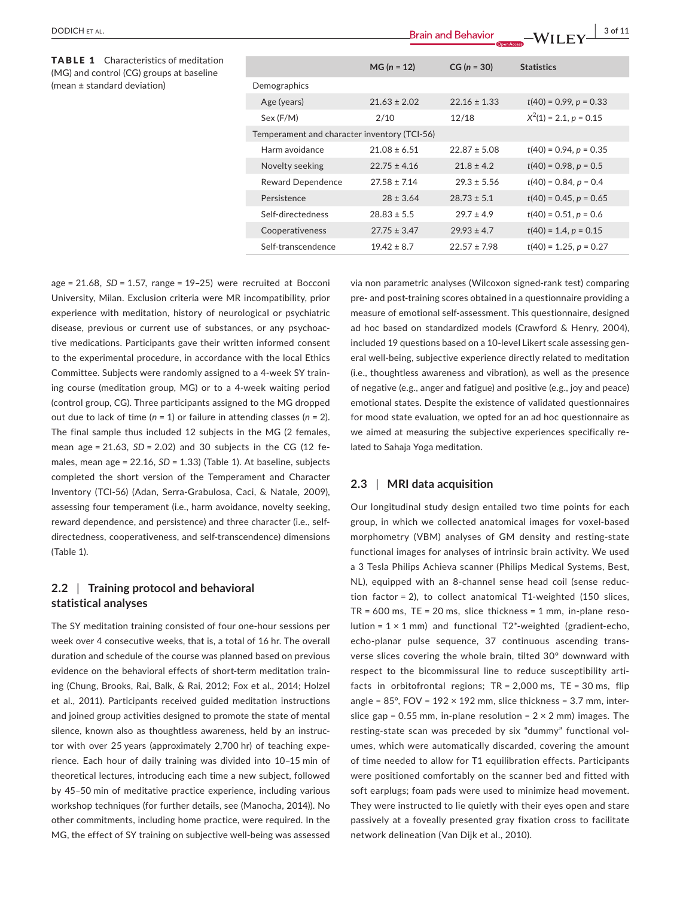**Brain and Behavior 2000 CHETAL. 1990 Brain and Behavior Brain and Behavior 2000 CHETAL** 

TABLE 1 Characteristics of meditation (MG) and control (CG) groups at baseline (mean ± standard deviation)

|                                              | $MG (n = 12)$    | $CG (n = 30)$    | <b>Statistics</b>        |  |  |
|----------------------------------------------|------------------|------------------|--------------------------|--|--|
| Demographics                                 |                  |                  |                          |  |  |
| Age (years)                                  | $21.63 \pm 2.02$ | $22.16 \pm 1.33$ | $t(40) = 0.99, p = 0.33$ |  |  |
| Sex (F/M)                                    | 2/10             | 12/18            | $X^2(1) = 2.1, p = 0.15$ |  |  |
| Temperament and character inventory (TCI-56) |                  |                  |                          |  |  |
| Harm avoidance                               | $21.08 \pm 6.51$ | $22.87 \pm 5.08$ | $t(40) = 0.94, p = 0.35$ |  |  |
| Novelty seeking                              | $22.75 \pm 4.16$ | $21.8 \pm 4.2$   | $t(40) = 0.98, p = 0.5$  |  |  |
| <b>Reward Dependence</b>                     | $27.58 \pm 7.14$ | $29.3 \pm 5.56$  | $t(40) = 0.84, p = 0.4$  |  |  |
| Persistence                                  | $28 \pm 3.64$    | $28.73 \pm 5.1$  | $t(40) = 0.45, p = 0.65$ |  |  |
| Self-directedness                            | $28.83 \pm 5.5$  | $29.7 \pm 4.9$   | $t(40) = 0.51, p = 0.6$  |  |  |
| Cooperativeness                              | $27.75 \pm 3.47$ | $29.93 \pm 4.7$  | $t(40) = 1.4, p = 0.15$  |  |  |
| Self-transcendence                           | $19.42 \pm 8.7$  | $22.57 \pm 7.98$ | $t(40) = 1.25, p = 0.27$ |  |  |

age = 21.68, *SD* = 1.57, range = 19–25) were recruited at Bocconi University, Milan. Exclusion criteria were MR incompatibility, prior experience with meditation, history of neurological or psychiatric disease, previous or current use of substances, or any psychoac‐ tive medications. Participants gave their written informed consent to the experimental procedure, in accordance with the local Ethics Committee. Subjects were randomly assigned to a 4‐week SY train‐ ing course (meditation group, MG) or to a 4‐week waiting period (control group, CG). Three participants assigned to the MG dropped out due to lack of time (*n* = 1) or failure in attending classes (*n* = 2). The final sample thus included 12 subjects in the MG (2 females, mean age = 21.63, *SD* = 2.02) and 30 subjects in the CG (12 fe‐ males, mean age = 22.16, *SD* = 1.33) (Table 1). At baseline, subjects completed the short version of the Temperament and Character Inventory (TCI‐56) (Adan, Serra‐Grabulosa, Caci, & Natale, 2009), assessing four temperament (i.e., harm avoidance, novelty seeking, reward dependence, and persistence) and three character (i.e., self‐ directedness, cooperativeness, and self‐transcendence) dimensions (Table 1).

# **2.2** | **Training protocol and behavioral statistical analyses**

The SY meditation training consisted of four one‐hour sessions per week over 4 consecutive weeks, that is, a total of 16 hr. The overall duration and schedule of the course was planned based on previous evidence on the behavioral effects of short-term meditation training (Chung, Brooks, Rai, Balk, & Rai, 2012; Fox et al., 2014; Holzel et al., 2011). Participants received guided meditation instructions and joined group activities designed to promote the state of mental silence, known also as thoughtless awareness, held by an instructor with over 25 years (approximately 2,700 hr) of teaching expe‐ rience. Each hour of daily training was divided into 10–15 min of theoretical lectures, introducing each time a new subject, followed by 45–50 min of meditative practice experience, including various workshop techniques (for further details, see (Manocha, 2014)). No other commitments, including home practice, were required. In the MG, the effect of SY training on subjective well‐being was assessed

via non parametric analyses (Wilcoxon signed‐rank test) comparing pre- and post-training scores obtained in a questionnaire providing a measure of emotional self‐assessment. This questionnaire, designed ad hoc based on standardized models (Crawford & Henry, 2004), included 19 questions based on a 10-level Likert scale assessing general well‐being, subjective experience directly related to meditation (i.e., thoughtless awareness and vibration), as well as the presence of negative (e.g., anger and fatigue) and positive (e.g., joy and peace) emotional states. Despite the existence of validated questionnaires for mood state evaluation, we opted for an ad hoc questionnaire as we aimed at measuring the subjective experiences specifically related to Sahaja Yoga meditation.

# **2.3** | **MRI data acquisition**

Our longitudinal study design entailed two time points for each group, in which we collected anatomical images for voxel‐based morphometry (VBM) analyses of GM density and resting‐state functional images for analyses of intrinsic brain activity. We used a 3 Tesla Philips Achieva scanner (Philips Medical Systems, Best, NL), equipped with an 8‐channel sense head coil (sense reduc‐ tion factor = 2), to collect anatomical T1‐weighted (150 slices, TR = 600 ms, TE = 20 ms, slice thickness = 1 mm, in-plane resolution =  $1 \times 1$  mm) and functional T2<sup>\*</sup>-weighted (gradient-echo, echo-planar pulse sequence, 37 continuous ascending transverse slices covering the whole brain, tilted 30° downward with respect to the bicommissural line to reduce susceptibility arti‐ facts in orbitofrontal regions; TR = 2,000 ms, TE = 30 ms, flip angle =  $85^\circ$ , FOV =  $192 \times 192$  mm, slice thickness = 3.7 mm, interslice gap =  $0.55$  mm, in-plane resolution =  $2 \times 2$  mm) images. The resting‐state scan was preceded by six "dummy" functional vol‐ umes, which were automatically discarded, covering the amount of time needed to allow for T1 equilibration effects. Participants were positioned comfortably on the scanner bed and fitted with soft earplugs; foam pads were used to minimize head movement. They were instructed to lie quietly with their eyes open and stare passively at a foveally presented gray fixation cross to facilitate network delineation (Van Dijk et al., 2010).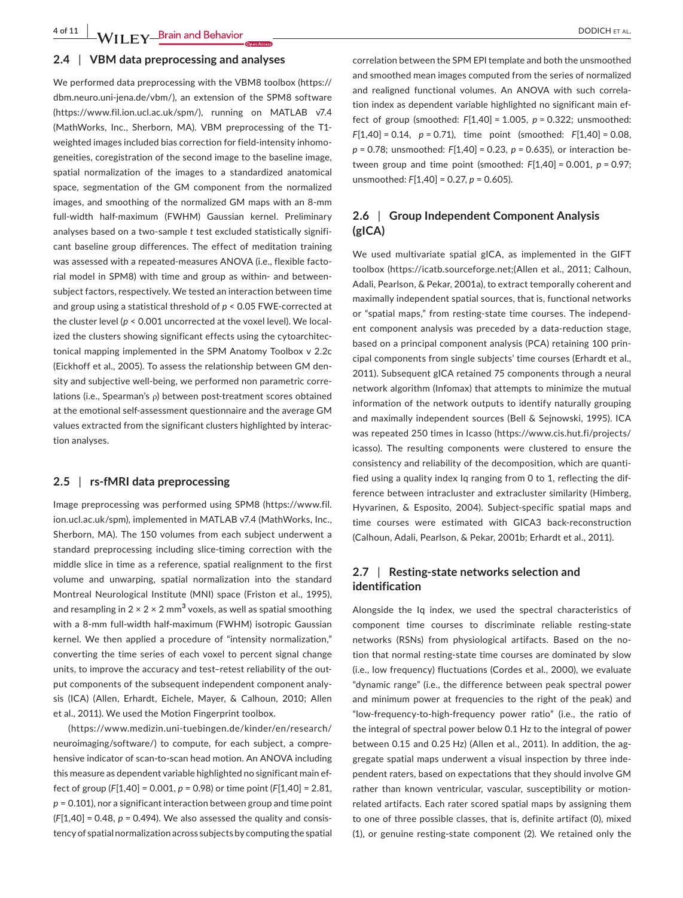**4 of 11 WII FY** Brain and Behavior <u>decrease and the set of the set of the set of the set of the set of the set of the set of the set of the set of the set of the set of the set of the set of the set of the set of the s</u>

### **2.4** | **VBM data preprocessing and analyses**

We performed data preprocessing with the VBM8 toolbox [\(https://](https://dbm.neuro.uni-jena.de/vbm/) [dbm.neuro.uni-jena.de/vbm/](https://dbm.neuro.uni-jena.de/vbm/)), an extension of the SPM8 software (<https://www.fil.ion.ucl.ac.uk/spm/>), running on MATLAB v7.4 (MathWorks, Inc., Sherborn, MA). VBM preprocessing of the T1‐ weighted images included bias correction for field-intensity inhomogeneities, coregistration of the second image to the baseline image, spatial normalization of the images to a standardized anatomical space, segmentation of the GM component from the normalized images, and smoothing of the normalized GM maps with an 8‐mm full‐width half‐maximum (FWHM) Gaussian kernel. Preliminary analyses based on a two-sample *t* test excluded statistically significant baseline group differences. The effect of meditation training was assessed with a repeated-measures ANOVA (i.e., flexible factorial model in SPM8) with time and group as within‐ and between‐ subject factors, respectively. We tested an interaction between time and group using a statistical threshold of *p* < 0.05 FWE‐corrected at the cluster level (*p* < 0.001 uncorrected at the voxel level). We local‐ ized the clusters showing significant effects using the cytoarchitectonical mapping implemented in the SPM Anatomy Toolbox v 2.2c (Eickhoff et al., 2005). To assess the relationship between GM den‐ sity and subjective well-being, we performed non parametric correlations (i.e., Spearman's ρ) between post-treatment scores obtained at the emotional self‐assessment questionnaire and the average GM values extracted from the significant clusters highlighted by interac‐ tion analyses.

# **2.5** | **rs‐fMRI data preprocessing**

Image preprocessing was performed using SPM8 ([https://www.fil.](https://www.fil.ion.ucl.ac.uk/spm) [ion.ucl.ac.uk/spm\)](https://www.fil.ion.ucl.ac.uk/spm), implemented in MATLAB v7.4 (MathWorks, Inc., Sherborn, MA). The 150 volumes from each subject underwent a standard preprocessing including slice‐timing correction with the middle slice in time as a reference, spatial realignment to the first volume and unwarping, spatial normalization into the standard Montreal Neurological Institute (MNI) space (Friston et al., 1995), and resampling in  $2 \times 2 \times 2$  mm<sup>3</sup> voxels, as well as spatial smoothing with a 8-mm full-width half-maximum (FWHM) isotropic Gaussian kernel. We then applied a procedure of "intensity normalization," converting the time series of each voxel to percent signal change units, to improve the accuracy and test–retest reliability of the out‐ put components of the subsequent independent component analysis (ICA) (Allen, Erhardt, Eichele, Mayer, & Calhoun, 2010; Allen et al., 2011). We used the Motion Fingerprint toolbox.

([https://www.medizin.uni-tuebingen.de/kinder/en/research/](https://www.medizin.uni-tuebingen.de/kinder/en/research/neuroimaging/software/) [neuroimaging/software/](https://www.medizin.uni-tuebingen.de/kinder/en/research/neuroimaging/software/)) to compute, for each subject, a compre‐ hensive indicator of scan-to-scan head motion. An ANOVA including this measure as dependent variable highlighted no significant main ef‐ fect of group (*F*[1,40] = 0.001, *p* = 0.98) or time point (*F*[1,40] = 2.81, *p* = 0.101), nor a significant interaction between group and time point (*F*[1,40] = 0.48, *p* = 0.494). We also assessed the quality and consis‐ tency of spatial normalization across subjects by computing the spatial

correlation between the SPM EPI template and both the unsmoothed and smoothed mean images computed from the series of normalized and realigned functional volumes. An ANOVA with such correla‐ tion index as dependent variable highlighted no significant main ef‐ fect of group (smoothed: *F*[1,40] = 1.005, *p* = 0.322; unsmoothed: *F*[1,40] = 0.14, *p* = 0.71), time point (smoothed: *F*[1,40] = 0.08, *p* = 0.78; unsmoothed: *F*[1,40] = 0.23, *p* = 0.635), or interaction be‐ tween group and time point (smoothed: *F*[1,40] = 0.001, *p* = 0.97; unsmoothed: *F*[1,40] = 0.27, *p* = 0.605).

# **2.6** | **Group Independent Component Analysis (gICA)**

We used multivariate spatial gICA, as implemented in the GIFT toolbox [\(https://icatb.sourceforge.net;\(](https://icatb.sourceforge.net;()Allen et al., 2011; Calhoun, Adali, Pearlson, & Pekar, 2001a), to extract temporally coherent and maximally independent spatial sources, that is, functional networks or "spatial maps," from resting‐state time courses. The independ‐ ent component analysis was preceded by a data-reduction stage, based on a principal component analysis (PCA) retaining 100 prin‐ cipal components from single subjects' time courses (Erhardt et al., 2011). Subsequent gICA retained 75 components through a neural network algorithm (Infomax) that attempts to minimize the mutual information of the network outputs to identify naturally grouping and maximally independent sources (Bell & Sejnowski, 1995). ICA was repeated 250 times in Icasso ([https://www.cis.hut.fi/projects/](https://www.cis.hut.fi/projects/icasso) [icasso\)](https://www.cis.hut.fi/projects/icasso). The resulting components were clustered to ensure the consistency and reliability of the decomposition, which are quanti‐ fied using a quality index Iq ranging from 0 to 1, reflecting the dif‐ ference between intracluster and extracluster similarity (Himberg, Hyvarinen, & Esposito, 2004). Subject‐specific spatial maps and time courses were estimated with GICA3 back‐reconstruction (Calhoun, Adali, Pearlson, & Pekar, 2001b; Erhardt et al., 2011).

# **2.7** | **Resting‐state networks selection and identification**

Alongside the Iq index, we used the spectral characteristics of component time courses to discriminate reliable resting‐state networks (RSNs) from physiological artifacts. Based on the no‐ tion that normal resting‐state time courses are dominated by slow (i.e., low frequency) fluctuations (Cordes et al., 2000), we evaluate "dynamic range" (i.e., the difference between peak spectral power and minimum power at frequencies to the right of the peak) and "low‐frequency‐to‐high‐frequency power ratio" (i.e., the ratio of the integral of spectral power below 0.1 Hz to the integral of power between 0.15 and 0.25 Hz) (Allen et al., 2011). In addition, the ag‐ gregate spatial maps underwent a visual inspection by three inde‐ pendent raters, based on expectations that they should involve GM rather than known ventricular, vascular, susceptibility or motion‐ related artifacts. Each rater scored spatial maps by assigning them to one of three possible classes, that is, definite artifact (0), mixed (1), or genuine resting‐state component (2). We retained only the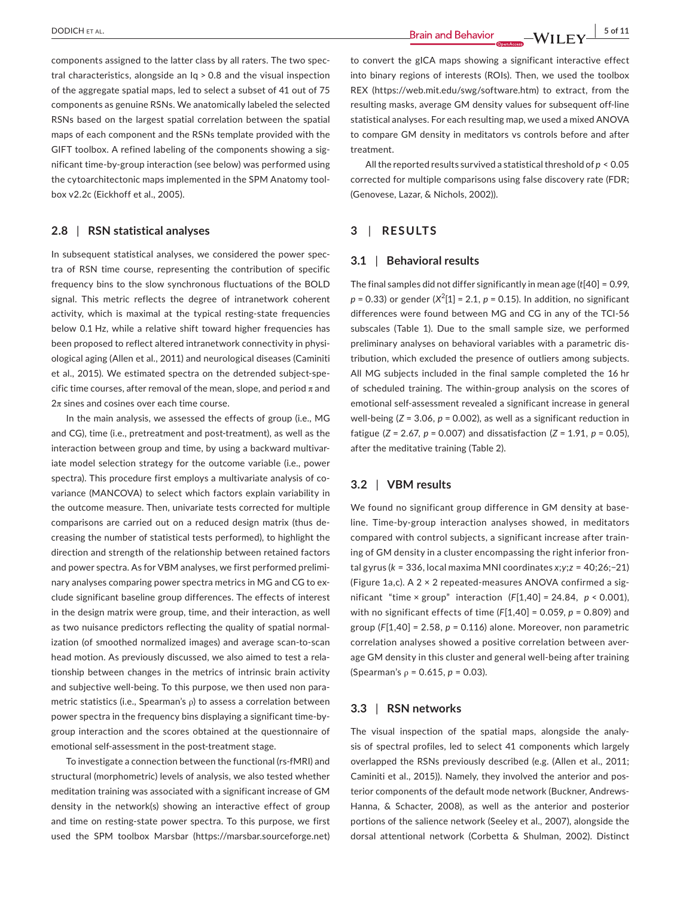components assigned to the latter class by all raters. The two spec‐ tral characteristics, alongside an Iq > 0.8 and the visual inspection of the aggregate spatial maps, led to select a subset of 41 out of 75 components as genuine RSNs. We anatomically labeled the selected RSNs based on the largest spatial correlation between the spatial maps of each component and the RSNs template provided with the GIFT toolbox. A refined labeling of the components showing a significant time‐by‐group interaction (see below) was performed using the cytoarchitectonic maps implemented in the SPM Anatomy tool‐ box v2.2c (Eickhoff et al., 2005).

# **2.8** | **RSN statistical analyses**

In subsequent statistical analyses, we considered the power spec‐ tra of RSN time course, representing the contribution of specific frequency bins to the slow synchronous fluctuations of the BOLD signal. This metric reflects the degree of intranetwork coherent activity, which is maximal at the typical resting‐state frequencies below 0.1 Hz, while a relative shift toward higher frequencies has been proposed to reflect altered intranetwork connectivity in physiological aging (Allen et al., 2011) and neurological diseases (Caminiti et al., 2015). We estimated spectra on the detrended subject‐spe‐ cific time courses, after removal of the mean, slope, and period  $\pi$  and  $2\pi$  sines and cosines over each time course.

In the main analysis, we assessed the effects of group (i.e., MG and CG), time (i.e., pretreatment and post-treatment), as well as the interaction between group and time, by using a backward multivariate model selection strategy for the outcome variable (i.e., power spectra). This procedure first employs a multivariate analysis of covariance (MANCOVA) to select which factors explain variability in the outcome measure. Then, univariate tests corrected for multiple comparisons are carried out on a reduced design matrix (thus de‐ creasing the number of statistical tests performed), to highlight the direction and strength of the relationship between retained factors and power spectra. As for VBM analyses, we first performed prelimi‐ nary analyses comparing power spectra metrics in MG and CG to ex‐ clude significant baseline group differences. The effects of interest in the design matrix were group, time, and their interaction, as well as two nuisance predictors reflecting the quality of spatial normal‐ ization (of smoothed normalized images) and average scan‐to‐scan head motion. As previously discussed, we also aimed to test a rela‐ tionship between changes in the metrics of intrinsic brain activity and subjective well-being. To this purpose, we then used non parametric statistics (i.e., Spearman's ρ) to assess a correlation between power spectra in the frequency bins displaying a significant time‐by‐ group interaction and the scores obtained at the questionnaire of emotional self-assessment in the post-treatment stage.

To investigate a connection between the functional (rs‐fMRI) and structural (morphometric) levels of analysis, we also tested whether meditation training was associated with a significant increase of GM density in the network(s) showing an interactive effect of group and time on resting‐state power spectra. To this purpose, we first used the SPM toolbox Marsbar ([https://marsbar.sourceforge.net\)](https://marsbar.sourceforge.net)

to convert the gICA maps showing a significant interactive effect into binary regions of interests (ROIs). Then, we used the toolbox REX ([https://web.mit.edu/swg/software.htm\)](https://web.mit.edu/swg/software.htm) to extract, from the resulting masks, average GM density values for subsequent off‐line statistical analyses. For each resulting map, we used a mixed ANOVA to compare GM density in meditators vs controls before and after treatment.

All the reported results survived a statistical threshold of *p* < 0.05 corrected for multiple comparisons using false discovery rate (FDR; (Genovese, Lazar, & Nichols, 2002)).

# **3** | **RESULTS**

### **3.1** | **Behavioral results**

The final samples did not differ significantly in mean age (*t*[40] = 0.99,  $p = 0.33$ ) or gender ( $X^2[1] = 2.1$ ,  $p = 0.15$ ). In addition, no significant differences were found between MG and CG in any of the TCI‐56 subscales (Table 1). Due to the small sample size, we performed preliminary analyses on behavioral variables with a parametric dis‐ tribution, which excluded the presence of outliers among subjects. All MG subjects included in the final sample completed the 16 hr of scheduled training. The within‐group analysis on the scores of emotional self‐assessment revealed a significant increase in general well-being (*Z* = 3.06, *p* = 0.002), as well as a significant reduction in fatigue (*Z* = 2.67, *p* = 0.007) and dissatisfaction (*Z* = 1.91, *p* = 0.05), after the meditative training (Table 2).

# **3.2** | **VBM results**

We found no significant group difference in GM density at baseline. Time‐by‐group interaction analyses showed, in meditators compared with control subjects, a significant increase after train‐ ing of GM density in a cluster encompassing the right inferior fron‐ tal gyrus (*k* = 336, local maxima MNI coordinates *x*;*y*;*z* = 40;26;−21) (Figure 1a,c). A 2 × 2 repeated‐measures ANOVA confirmed a sig‐ nificant "time × group" interaction (*F*[1,40] = 24.84, *p* < 0.001), with no significant effects of time (*F*[1,40] = 0.059, *p* = 0.809) and group (*F*[1,40] = 2.58, *p* = 0.116) alone. Moreover, non parametric correlation analyses showed a positive correlation between aver‐ age GM density in this cluster and general well-being after training (Spearman's ρ = 0.615, *p* = 0.03).

### **3.3** | **RSN networks**

The visual inspection of the spatial maps, alongside the analy‐ sis of spectral profiles, led to select 41 components which largely overlapped the RSNs previously described (e.g. (Allen et al., 2011; Caminiti et al., 2015)). Namely, they involved the anterior and pos‐ terior components of the default mode network (Buckner, Andrews‐ Hanna, & Schacter, 2008), as well as the anterior and posterior portions of the salience network (Seeley et al., 2007), alongside the dorsal attentional network (Corbetta & Shulman, 2002). Distinct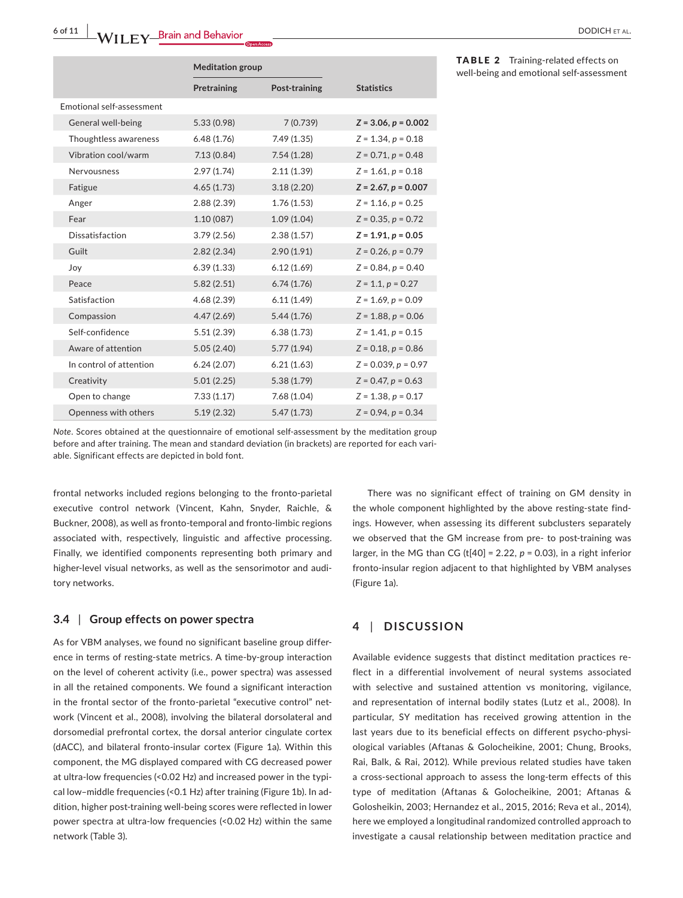|                           |                         | <b>Meditation group</b> |               |                         |  |
|---------------------------|-------------------------|-------------------------|---------------|-------------------------|--|
|                           |                         | Pretraining             | Post-training | <b>Statistics</b>       |  |
| Emotional self-assessment |                         |                         |               |                         |  |
|                           | General well-being      | 5.33 (0.98)             | 7(0.739)      | $Z = 3.06, p = 0.002$   |  |
|                           | Thoughtless awareness   | 6.48(1.76)              | 7.49 (1.35)   | $Z = 1.34, p = 0.18$    |  |
|                           | Vibration cool/warm     | 7.13(0.84)              | 7.54(1.28)    | $Z = 0.71, p = 0.48$    |  |
|                           | Nervousness             | 2.97(1.74)              | 2.11(1.39)    | $Z = 1.61, p = 0.18$    |  |
|                           | Fatigue                 | 4.65(1.73)              | 3.18(2.20)    | $Z = 2.67, p = 0.007$   |  |
|                           | Anger                   | 2.88(2.39)              | 1.76(1.53)    | $Z = 1.16, p = 0.25$    |  |
|                           | Fear                    | 1.10(087)               | 1.09(1.04)    | $Z = 0.35, p = 0.72$    |  |
|                           | Dissatisfaction         | 3.79(2.56)              | 2.38(1.57)    | $Z = 1.91, p = 0.05$    |  |
|                           | Guilt                   | 2.82(2.34)              | 2.90(1.91)    | $Z = 0.26, p = 0.79$    |  |
|                           | Joy                     | 6.39(1.33)              | 6.12(1.69)    | $Z = 0.84, p = 0.40$    |  |
|                           | Peace                   | 5.82(2.51)              | 6.74(1.76)    | $Z = 1.1, p = 0.27$     |  |
|                           | Satisfaction            | 4.68(2.39)              | 6.11(1.49)    | $Z = 1.69, p = 0.09$    |  |
|                           | Compassion              | 4.47(2.69)              | 5.44(1.76)    | $Z = 1.88, p = 0.06$    |  |
|                           | Self-confidence         | 5.51(2.39)              | 6.38(1.73)    | $Z = 1.41, p = 0.15$    |  |
|                           | Aware of attention      | 5.05(2.40)              | 5.77(1.94)    | $Z = 0.18$ , $p = 0.86$ |  |
|                           | In control of attention | 6.24(2.07)              | 6.21(1.63)    | $Z = 0.039, p = 0.97$   |  |
|                           | Creativity              | 5.01(2.25)              | 5.38(1.79)    | $Z = 0.47, p = 0.63$    |  |
|                           | Open to change          | 7.33(1.17)              | 7.68(1.04)    | $Z = 1.38, p = 0.17$    |  |
|                           | Openness with others    | 5.19(2.32)              | 5.47(1.73)    | $Z = 0.94, p = 0.34$    |  |
|                           |                         |                         |               |                         |  |

TABLE 2 Training-related effects on well‐being and emotional self‐assessment

*Note*. Scores obtained at the questionnaire of emotional self‐assessment by the meditation group before and after training. The mean and standard deviation (in brackets) are reported for each variable. Significant effects are depicted in bold font.

frontal networks included regions belonging to the fronto‐parietal executive control network (Vincent, Kahn, Snyder, Raichle, & Buckner, 2008), as well as fronto‐temporal and fronto‐limbic regions associated with, respectively, linguistic and affective processing. Finally, we identified components representing both primary and higher-level visual networks, as well as the sensorimotor and auditory networks.

# **3.4** | **Group effects on power spectra**

As for VBM analyses, we found no significant baseline group differ‐ ence in terms of resting‐state metrics. A time‐by‐group interaction on the level of coherent activity (i.e., power spectra) was assessed in all the retained components. We found a significant interaction in the frontal sector of the fronto-parietal "executive control" network (Vincent et al., 2008), involving the bilateral dorsolateral and dorsomedial prefrontal cortex, the dorsal anterior cingulate cortex (dACC), and bilateral fronto‐insular cortex (Figure 1a). Within this component, the MG displayed compared with CG decreased power at ultra-low frequencies (<0.02 Hz) and increased power in the typical low–middle frequencies (<0.1 Hz) after training (Figure 1b). In ad‐ dition, higher post‐training well‐being scores were reflected in lower power spectra at ultra-low frequencies (<0.02 Hz) within the same network (Table 3).

There was no significant effect of training on GM density in the whole component highlighted by the above resting‐state find‐ ings. However, when assessing its different subclusters separately we observed that the GM increase from pre- to post-training was larger, in the MG than CG (t[40] = 2.22, *p* = 0.03), in a right inferior fronto‐insular region adjacent to that highlighted by VBM analyses (Figure 1a).

# **4** | **DISCUSSION**

Available evidence suggests that distinct meditation practices re‐ flect in a differential involvement of neural systems associated with selective and sustained attention vs monitoring, vigilance, and representation of internal bodily states (Lutz et al., 2008). In particular, SY meditation has received growing attention in the last years due to its beneficial effects on different psycho-physiological variables (Aftanas & Golocheikine, 2001; Chung, Brooks, Rai, Balk, & Rai, 2012). While previous related studies have taken a cross‐sectional approach to assess the long‐term effects of this type of meditation (Aftanas & Golocheikine, 2001; Aftanas & Golosheikin, 2003; Hernandez et al., 2015, 2016; Reva et al., 2014), here we employed a longitudinal randomized controlled approach to investigate a causal relationship between meditation practice and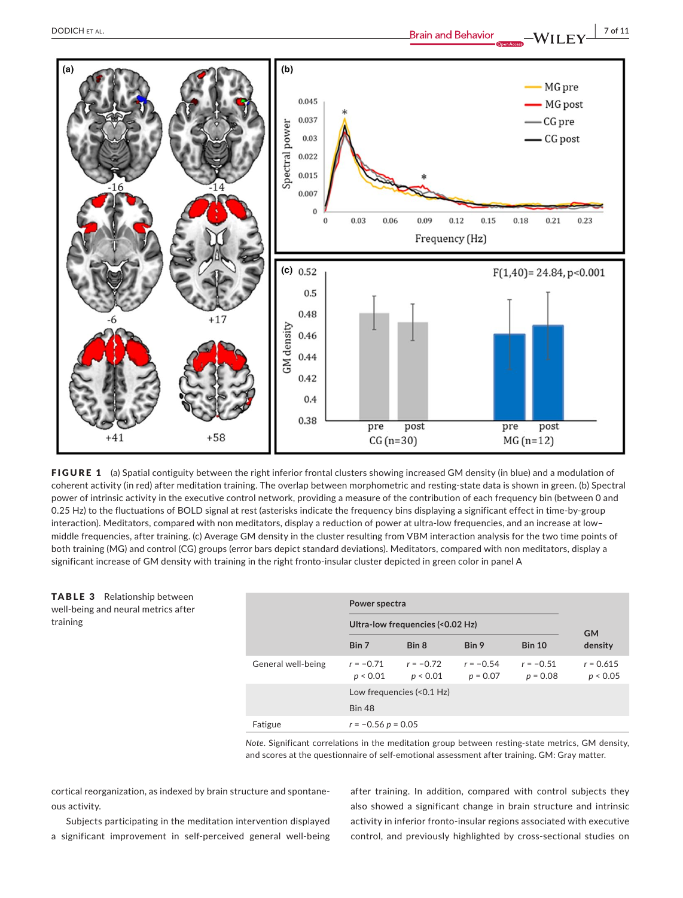$(a)$ 





FIGURE 1 (a) Spatial contiguity between the right inferior frontal clusters showing increased GM density (in blue) and a modulation of coherent activity (in red) after meditation training. The overlap between morphometric and resting‐state data is shown in green. (b) Spectral power of intrinsic activity in the executive control network, providing a measure of the contribution of each frequency bin (between 0 and 0.25 Hz) to the fluctuations of BOLD signal at rest (asterisks indicate the frequency bins displaying a significant effect in time‐by‐group interaction). Meditators, compared with non meditators, display a reduction of power at ultra-low frequencies, and an increase at lowmiddle frequencies, after training. (c) Average GM density in the cluster resulting from VBM interaction analysis for the two time points of both training (MG) and control (CG) groups (error bars depict standard deviations). Meditators, compared with non meditators, display a significant increase of GM density with training in the right fronto-insular cluster depicted in green color in panel A

TABLE 3 Relationship between well‐being and neural metrics after training

|                    | Power spectra                    |                         |                           |                           |                         |  |
|--------------------|----------------------------------|-------------------------|---------------------------|---------------------------|-------------------------|--|
|                    | Ultra-low frequencies (<0.02 Hz) |                         | <b>GM</b>                 |                           |                         |  |
|                    | Bin 7                            | Bin 8                   | Bin 9                     | <b>Bin 10</b>             | density                 |  |
| General well-being | $r = -0.71$<br>p < 0.01          | $r = -0.72$<br>p < 0.01 | $r = -0.54$<br>$p = 0.07$ | $r = -0.51$<br>$p = 0.08$ | $r = 0.615$<br>p < 0.05 |  |
|                    | Low frequencies (<0.1 Hz)        |                         |                           |                           |                         |  |
|                    | <b>Bin 48</b>                    |                         |                           |                           |                         |  |
| Fatigue            | $r = -0.56 p = 0.05$             |                         |                           |                           |                         |  |

*Note*. Significant correlations in the meditation group between resting-state metrics, GM density, and scores at the questionnaire of self‐emotional assessment after training. GM: Gray matter.

cortical reorganization, as indexed by brain structure and spontane‐ ous activity.

Subjects participating in the meditation intervention displayed a significant improvement in self‐perceived general well‐being

after training. In addition, compared with control subjects they also showed a significant change in brain structure and intrinsic activity in inferior fronto‐insular regions associated with executive control, and previously highlighted by cross‐sectional studies on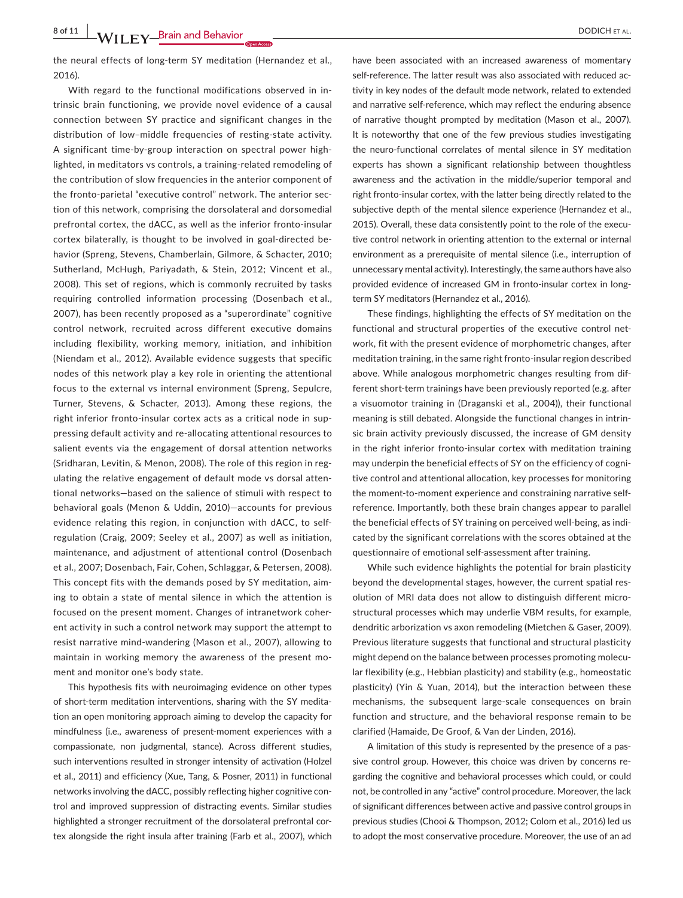**8 of 11 WII EV** Brain and Behavior **CONDICH ET AL.** 

the neural effects of long‐term SY meditation (Hernandez et al., 2016).

With regard to the functional modifications observed in in‐ trinsic brain functioning, we provide novel evidence of a causal connection between SY practice and significant changes in the distribution of low–middle frequencies of resting‐state activity. A significant time‐by‐group interaction on spectral power high‐ lighted, in meditators vs controls, a training‐related remodeling of the contribution of slow frequencies in the anterior component of the fronto‐parietal "executive control" network. The anterior sec‐ tion of this network, comprising the dorsolateral and dorsomedial prefrontal cortex, the dACC, as well as the inferior fronto‐insular cortex bilaterally, is thought to be involved in goal-directed behavior (Spreng, Stevens, Chamberlain, Gilmore, & Schacter, 2010; Sutherland, McHugh, Pariyadath, & Stein, 2012; Vincent et al., 2008). This set of regions, which is commonly recruited by tasks requiring controlled information processing (Dosenbach et al., 2007), has been recently proposed as a "superordinate" cognitive control network, recruited across different executive domains including flexibility, working memory, initiation, and inhibition (Niendam et al., 2012). Available evidence suggests that specific nodes of this network play a key role in orienting the attentional focus to the external vs internal environment (Spreng, Sepulcre, Turner, Stevens, & Schacter, 2013). Among these regions, the right inferior fronto-insular cortex acts as a critical node in suppressing default activity and re‐allocating attentional resources to salient events via the engagement of dorsal attention networks (Sridharan, Levitin, & Menon, 2008). The role of this region in reg‐ ulating the relative engagement of default mode vs dorsal atten‐ tional networks—based on the salience of stimuli with respect to behavioral goals (Menon & Uddin, 2010)—accounts for previous evidence relating this region, in conjunction with dACC, to self‐ regulation (Craig, 2009; Seeley et al., 2007) as well as initiation, maintenance, and adjustment of attentional control (Dosenbach et al., 2007; Dosenbach, Fair, Cohen, Schlaggar, & Petersen, 2008). This concept fits with the demands posed by SY meditation, aim‐ ing to obtain a state of mental silence in which the attention is focused on the present moment. Changes of intranetwork coher‐ ent activity in such a control network may support the attempt to resist narrative mind‐wandering (Mason et al., 2007), allowing to maintain in working memory the awareness of the present mo‐ ment and monitor one's body state.

This hypothesis fits with neuroimaging evidence on other types of short-term meditation interventions, sharing with the SY meditation an open monitoring approach aiming to develop the capacity for mindfulness (i.e., awareness of present‐moment experiences with a compassionate, non judgmental, stance). Across different studies, such interventions resulted in stronger intensity of activation (Holzel et al., 2011) and efficiency (Xue, Tang, & Posner, 2011) in functional networks involving the dACC, possibly reflecting higher cognitive con‐ trol and improved suppression of distracting events. Similar studies highlighted a stronger recruitment of the dorsolateral prefrontal cortex alongside the right insula after training (Farb et al., 2007), which

have been associated with an increased awareness of momentary self-reference. The latter result was also associated with reduced activity in key nodes of the default mode network, related to extended and narrative self-reference, which may reflect the enduring absence of narrative thought prompted by meditation (Mason et al., 2007). It is noteworthy that one of the few previous studies investigating the neuro‐functional correlates of mental silence in SY meditation experts has shown a significant relationship between thoughtless awareness and the activation in the middle/superior temporal and right fronto‐insular cortex, with the latter being directly related to the subjective depth of the mental silence experience (Hernandez et al., 2015). Overall, these data consistently point to the role of the execu‐ tive control network in orienting attention to the external or internal environment as a prerequisite of mental silence (i.e., interruption of unnecessary mental activity). Interestingly, the same authors have also provided evidence of increased GM in fronto-insular cortex in longterm SY meditators (Hernandez et al., 2016).

These findings, highlighting the effects of SY meditation on the functional and structural properties of the executive control net‐ work, fit with the present evidence of morphometric changes, after meditation training, in the same right fronto‐insular region described above. While analogous morphometric changes resulting from dif‐ ferent short-term trainings have been previously reported (e.g. after a visuomotor training in (Draganski et al., 2004)), their functional meaning is still debated. Alongside the functional changes in intrin‐ sic brain activity previously discussed, the increase of GM density in the right inferior fronto‐insular cortex with meditation training may underpin the beneficial effects of SY on the efficiency of cogni‐ tive control and attentional allocation, key processes for monitoring the moment-to-moment experience and constraining narrative selfreference. Importantly, both these brain changes appear to parallel the beneficial effects of SY training on perceived well-being, as indicated by the significant correlations with the scores obtained at the questionnaire of emotional self‐assessment after training.

While such evidence highlights the potential for brain plasticity beyond the developmental stages, however, the current spatial res‐ olution of MRI data does not allow to distinguish different micro‐ structural processes which may underlie VBM results, for example, dendritic arborization vs axon remodeling (Mietchen & Gaser, 2009). Previous literature suggests that functional and structural plasticity might depend on the balance between processes promoting molecu‐ lar flexibility (e.g., Hebbian plasticity) and stability (e.g., homeostatic plasticity) (Yin & Yuan, 2014), but the interaction between these mechanisms, the subsequent large‐scale consequences on brain function and structure, and the behavioral response remain to be clarified (Hamaide, De Groof, & Van der Linden, 2016).

A limitation of this study is represented by the presence of a pas‐ sive control group. However, this choice was driven by concerns re‐ garding the cognitive and behavioral processes which could, or could not, be controlled in any "active" control procedure. Moreover, the lack of significant differences between active and passive control groups in previous studies (Chooi & Thompson, 2012; Colom et al., 2016) led us to adopt the most conservative procedure. Moreover, the use of an ad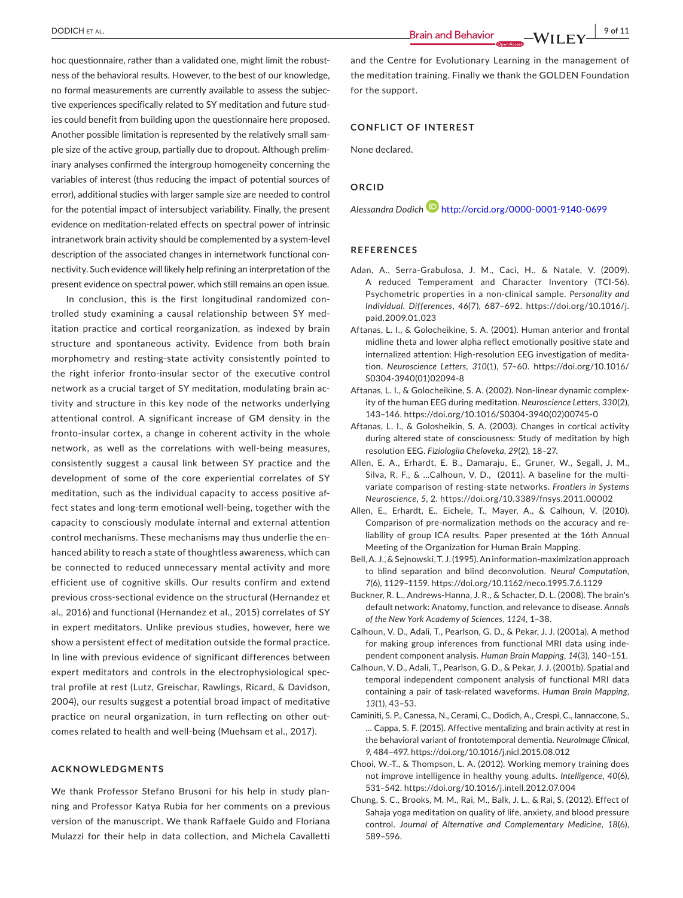hoc questionnaire, rather than a validated one, might limit the robustness of the behavioral results. However, to the best of our knowledge, no formal measurements are currently available to assess the subjec‐ tive experiences specifically related to SY meditation and future stud‐ ies could benefit from building upon the questionnaire here proposed. Another possible limitation is represented by the relatively small sam‐ ple size of the active group, partially due to dropout. Although prelim‐ inary analyses confirmed the intergroup homogeneity concerning the variables of interest (thus reducing the impact of potential sources of error), additional studies with larger sample size are needed to control for the potential impact of intersubject variability. Finally, the present evidence on meditation‐related effects on spectral power of intrinsic intranetwork brain activity should be complemented by a system‐level description of the associated changes in internetwork functional con‐ nectivity. Such evidence will likely help refining an interpretation of the present evidence on spectral power, which still remains an open issue.

In conclusion, this is the first longitudinal randomized con‐ trolled study examining a causal relationship between SY med‐ itation practice and cortical reorganization, as indexed by brain structure and spontaneous activity. Evidence from both brain morphometry and resting‐state activity consistently pointed to the right inferior fronto‐insular sector of the executive control network as a crucial target of SY meditation, modulating brain ac‐ tivity and structure in this key node of the networks underlying attentional control. A significant increase of GM density in the fronto-insular cortex, a change in coherent activity in the whole network, as well as the correlations with well‐being measures, consistently suggest a causal link between SY practice and the development of some of the core experiential correlates of SY meditation, such as the individual capacity to access positive af‐ fect states and long‐term emotional well‐being, together with the capacity to consciously modulate internal and external attention control mechanisms. These mechanisms may thus underlie the en‐ hanced ability to reach a state of thoughtless awareness, which can be connected to reduced unnecessary mental activity and more efficient use of cognitive skills. Our results confirm and extend previous cross-sectional evidence on the structural (Hernandez et al., 2016) and functional (Hernandez et al., 2015) correlates of SY in expert meditators. Unlike previous studies, however, here we show a persistent effect of meditation outside the formal practice. In line with previous evidence of significant differences between expert meditators and controls in the electrophysiological spec‐ tral profile at rest (Lutz, Greischar, Rawlings, Ricard, & Davidson, 2004), our results suggest a potential broad impact of meditative practice on neural organization, in turn reflecting on other outcomes related to health and well‐being (Muehsam et al., 2017).

#### **ACKNOWLEDGMENTS**

We thank Professor Stefano Brusoni for his help in study planning and Professor Katya Rubia for her comments on a previous version of the manuscript. We thank Raffaele Guido and Floriana Mulazzi for their help in data collection, and Michela Cavalletti

 **Brain and Behavior CONCH ET AL. 9 of 11** 

and the Centre for Evolutionary Learning in the management of the meditation training. Finally we thank the GOLDEN Foundation for the support.

### **CONFLICT OF INTEREST**

None declared.

#### **ORCID**

*Alessandra Dodic[h](http://orcid.org/0000-0001-9140-0699)* <http://orcid.org/0000-0001-9140-0699>

#### **REFERENCES**

- Adan, A., Serra‐Grabulosa, J. M., Caci, H., & Natale, V. (2009). A reduced Temperament and Character Inventory (TCI‐56). Psychometric properties in a non‐clinical sample. *Personality and Individual*. *Differences*, *46*(7), 687–692. [https://doi.org/10.1016/j.](https://doi.org/10.1016/j.paid.2009.01.023) [paid.2009.01.023](https://doi.org/10.1016/j.paid.2009.01.023)
- Aftanas, L. I., & Golocheikine, S. A. (2001). Human anterior and frontal midline theta and lower alpha reflect emotionally positive state and internalized attention: High-resolution EEG investigation of meditation. *Neuroscience Letters*, *310*(1), 57–60. [https://doi.org/10.1016/](https://doi.org/10.1016/S0304-3940(01)02094-8) [S0304-3940\(01\)02094-8](https://doi.org/10.1016/S0304-3940(01)02094-8)
- Aftanas, L. I., & Golocheikine, S. A. (2002). Non‐linear dynamic complex‐ ity of the human EEG during meditation. *Neuroscience Letters*, *330*(2), 143–146. [https://doi.org/10.1016/S0304-3940\(02\)00745-0](https://doi.org/10.1016/S0304-3940(02)00745-0)
- Aftanas, L. I., & Golosheikin, S. A. (2003). Changes in cortical activity during altered state of consciousness: Study of meditation by high resolution EEG. *Fiziologiia Cheloveka*, *29*(2), 18–27.
- Allen, E. A., Erhardt, E. B., Damaraju, E., Gruner, W., Segall, J. M., Silva, R. F., & ...Calhoun, V. D., (2011). A baseline for the multivariate comparison of resting‐state networks. *Frontiers in Systems Neuroscience*, *5*, 2. <https://doi.org/10.3389/fnsys.2011.00002>
- Allen, E., Erhardt, E., Eichele, T., Mayer, A., & Calhoun, V. (2010). Comparison of pre‐normalization methods on the accuracy and re‐ liability of group ICA results. Paper presented at the 16th Annual Meeting of the Organization for Human Brain Mapping.
- Bell,A. J., & Sejnowski, T. J. (1995).An information‐maximization approach to blind separation and blind deconvolution. *Neural Computation*, *7*(6), 1129–1159. <https://doi.org/10.1162/neco.1995.7.6.1129>
- Buckner, R. L., Andrews‐Hanna, J. R., & Schacter, D. L. (2008). The brain's default network: Anatomy, function, and relevance to disease. *Annals of the New York Academy of Sciences*, *1124*, 1–38.
- Calhoun, V. D., Adali, T., Pearlson, G. D., & Pekar, J. J. (2001a). A method for making group inferences from functional MRI data using inde‐ pendent component analysis. *Human Brain Mapping*, *14*(3), 140–151.
- Calhoun, V. D., Adali, T., Pearlson, G. D., & Pekar, J. J. (2001b). Spatial and temporal independent component analysis of functional MRI data containing a pair of task‐related waveforms. *Human Brain Mapping*, *13*(1), 43–53.
- Caminiti, S. P., Canessa, N., Cerami, C., Dodich, A., Crespi, C., Iannaccone, S., … Cappa, S. F. (2015). Affective mentalizing and brain activity at rest in the behavioral variant of frontotemporal dementia. *NeuroImage Clinical*, *9*, 484–497. <https://doi.org/10.1016/j.nicl.2015.08.012>
- Chooi, W.‐T., & Thompson, L. A. (2012). Working memory training does not improve intelligence in healthy young adults. *Intelligence*, *40*(6), 531–542. <https://doi.org/10.1016/j.intell.2012.07.004>
- Chung, S. C., Brooks, M. M., Rai, M., Balk, J. L., & Rai, S. (2012). Effect of Sahaja yoga meditation on quality of life, anxiety, and blood pressure control. *Journal of Alternative and Complementary Medicine*, *18*(6), 589–596.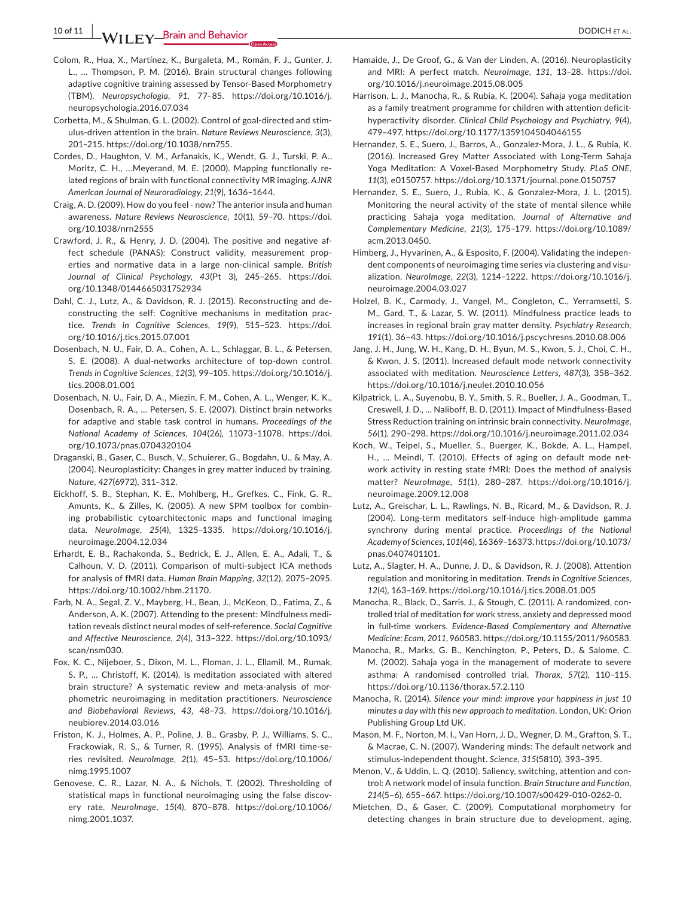**10 of 11 WILEY** Brain and Behavior <u>decrease and the contract of the set of the product et al.</u>

- Colom, R., Hua, X., Martínez, K., Burgaleta, M., Román, F. J., Gunter, J. L., … Thompson, P. M. (2016). Brain structural changes following adaptive cognitive training assessed by Tensor‐Based Morphometry (TBM). *Neuropsychologia*, *91*, 77–85. [https://doi.org/10.1016/j.](https://doi.org/10.1016/j.neuropsychologia.2016.07.034) [neuropsychologia.2016.07.034](https://doi.org/10.1016/j.neuropsychologia.2016.07.034)
- Corbetta, M., & Shulman, G. L. (2002). Control of goal‐directed and stim‐ ulus‐driven attention in the brain. *Nature Reviews Neuroscience*, *3*(3), 201–215. [https://doi.org/10.1038/nrn755.](https://doi.org/10.1038/nrn755)
- Cordes, D., Haughton, V. M., Arfanakis, K., Wendt, G. J., Turski, P. A., Moritz, C. H., …Meyerand, M. E. (2000). Mapping functionally re‐ lated regions of brain with functional connectivity MR imaging. *AJNR American Journal of Neuroradiology*, *21*(9), 1636–1644.
- Craig, A. D. (2009). How do you feel ‐ now? The anterior insula and human awareness. *Nature Reviews Neuroscience*, *10*(1), 59–70. [https://doi.](https://doi.org/10.1038/nrn2555) [org/10.1038/nrn2555](https://doi.org/10.1038/nrn2555)
- Crawford, J. R., & Henry, J. D. (2004). The positive and negative af‐ fect schedule (PANAS): Construct validity, measurement prop‐ erties and normative data in a large non‐clinical sample. *British Journal of Clinical Psychology*, *43*(Pt 3), 245–265. [https://doi.](https://doi.org/10.1348/0144665031752934) [org/10.1348/0144665031752934](https://doi.org/10.1348/0144665031752934)
- Dahl, C. J., Lutz, A., & Davidson, R. J. (2015). Reconstructing and de‐ constructing the self: Cognitive mechanisms in meditation prac‐ tice. *Trends in Cognitive Sciences*, *19*(9), 515–523. [https://doi.](https://doi.org/10.1016/j.tics.2015.07.001) [org/10.1016/j.tics.2015.07.001](https://doi.org/10.1016/j.tics.2015.07.001)
- Dosenbach, N. U., Fair, D. A., Cohen, A. L., Schlaggar, B. L., & Petersen, S. E. (2008). A dual‐networks architecture of top‐down control. *Trends in Cognitive Sciences*, *12*(3), 99–105. [https://doi.org/10.1016/j.](https://doi.org/10.1016/j.tics.2008.01.001) [tics.2008.01.001](https://doi.org/10.1016/j.tics.2008.01.001)
- Dosenbach, N. U., Fair, D. A., Miezin, F. M., Cohen, A. L., Wenger, K. K., Dosenbach, R. A., … Petersen, S. E. (2007). Distinct brain networks for adaptive and stable task control in humans. *Proceedings of the National Academy of Sciences*, *104*(26), 11073–11078. [https://doi.](https://doi.org/10.1073/pnas.0704320104) [org/10.1073/pnas.0704320104](https://doi.org/10.1073/pnas.0704320104)
- Draganski, B., Gaser, C., Busch, V., Schuierer, G., Bogdahn, U., & May, A. (2004). Neuroplasticity: Changes in grey matter induced by training. *Nature*, *427*(6972), 311–312.
- Eickhoff, S. B., Stephan, K. E., Mohlberg, H., Grefkes, C., Fink, G. R., Amunts, K., & Zilles, K. (2005). A new SPM toolbox for combin‐ ing probabilistic cytoarchitectonic maps and functional imaging data. *NeuroImage*, *25*(4), 1325–1335. [https://doi.org/10.1016/j.](https://doi.org/10.1016/j.neuroimage.2004.12.034) [neuroimage.2004.12.034](https://doi.org/10.1016/j.neuroimage.2004.12.034)
- Erhardt, E. B., Rachakonda, S., Bedrick, E. J., Allen, E. A., Adali, T., & Calhoun, V. D. (2011). Comparison of multi‐subject ICA methods for analysis of fMRI data. *Human Brain Mapping*, *32*(12), 2075–2095. <https://doi.org/10.1002/hbm.21170>.
- Farb, N. A., Segal, Z. V., Mayberg, H., Bean, J., McKeon, D., Fatima, Z., & Anderson, A. K. (2007). Attending to the present: Mindfulness medi‐ tation reveals distinct neural modes of self‐reference. *Social Cognitive and Affective Neuroscience*, *2*(4), 313–322. [https://doi.org/10.1093/](https://doi.org/10.1093/scan/nsm030) [scan/nsm030.](https://doi.org/10.1093/scan/nsm030)
- Fox, K. C., Nijeboer, S., Dixon, M. L., Floman, J. L., Ellamil, M., Rumak, S. P., … Christoff, K. (2014). Is meditation associated with altered brain structure? A systematic review and meta-analysis of morphometric neuroimaging in meditation practitioners. *Neuroscience and Biobehavioral Reviews*, *43*, 48–73. [https://doi.org/10.1016/j.](https://doi.org/10.1016/j.neubiorev.2014.03.016) [neubiorev.2014.03.016](https://doi.org/10.1016/j.neubiorev.2014.03.016)
- Friston, K. J., Holmes, A. P., Poline, J. B., Grasby, P. J., Williams, S. C., Frackowiak, R. S., & Turner, R. (1995). Analysis of fMRI time‐se‐ ries revisited. *NeuroImage*, *2*(1), 45–53. [https://doi.org/10.1006/](https://doi.org/10.1006/nimg.1995.1007) [nimg.1995.1007](https://doi.org/10.1006/nimg.1995.1007)
- Genovese, C. R., Lazar, N. A., & Nichols, T. (2002). Thresholding of statistical maps in functional neuroimaging using the false discov‐ ery rate. *NeuroImage*, *15*(4), 870–878. [https://doi.org/10.1006/](https://doi.org/10.1006/nimg.2001.1037) [nimg.2001.1037.](https://doi.org/10.1006/nimg.2001.1037)
- Hamaide, J., De Groof, G., & Van der Linden, A. (2016). Neuroplasticity and MRI: A perfect match. *NeuroImage*, *131*, 13–28. [https://doi.](https://doi.org/10.1016/j.neuroimage.2015.08.005) [org/10.1016/j.neuroimage.2015.08.005](https://doi.org/10.1016/j.neuroimage.2015.08.005)
- Harrison, L. J., Manocha, R., & Rubia, K. (2004). Sahaja yoga meditation as a family treatment programme for children with attention deficithyperactivity disorder. *Clinical Child Psychology and Psychiatry*, *9*(4), 479–497. <https://doi.org/10.1177/1359104504046155>
- Hernandez, S. E., Suero, J., Barros, A., Gonzalez‐Mora, J. L., & Rubia, K. (2016). Increased Grey Matter Associated with Long‐Term Sahaja Yoga Meditation: A Voxel‐Based Morphometry Study. *PLoS ONE*, *11*(3), e0150757. <https://doi.org/10.1371/journal.pone.0150757>
- Hernandez, S. E., Suero, J., Rubia, K., & Gonzalez‐Mora, J. L. (2015). Monitoring the neural activity of the state of mental silence while practicing Sahaja yoga meditation. *Journal of Alternative and Complementary Medicine*, *21*(3), 175–179. [https://doi.org/10.1089/](https://doi.org/10.1089/acm.2013.0450) [acm.2013.0450](https://doi.org/10.1089/acm.2013.0450).
- Himberg, J., Hyvarinen, A., & Esposito, F. (2004). Validating the indepen‐ dent components of neuroimaging time series via clustering and visualization. *NeuroImage*, *22*(3), 1214–1222. [https://doi.org/10.1016/j.](https://doi.org/10.1016/j.neuroimage.2004.03.027) [neuroimage.2004.03.027](https://doi.org/10.1016/j.neuroimage.2004.03.027)
- Holzel, B. K., Carmody, J., Vangel, M., Congleton, C., Yerramsetti, S. M., Gard, T., & Lazar, S. W. (2011). Mindfulness practice leads to increases in regional brain gray matter density. *Psychiatry Research*, *191*(1), 36–43. <https://doi.org/10.1016/j.pscychresns.2010.08.006>
- Jang, J. H., Jung, W. H., Kang, D. H., Byun, M. S., Kwon, S. J., Choi, C. H., & Kwon, J. S. (2011). Increased default mode network connectivity associated with meditation. *Neuroscience Letters*, *487*(3), 358–362. <https://doi.org/10.1016/j.neulet.2010.10.056>
- Kilpatrick, L. A., Suyenobu, B. Y., Smith, S. R., Bueller, J. A., Goodman, T., Creswell, J. D., … Naliboff, B. D. (2011). Impact of Mindfulness‐Based Stress Reduction training on intrinsic brain connectivity. *NeuroImage*, *56*(1), 290–298. <https://doi.org/10.1016/j.neuroimage.2011.02.034>
- Koch, W., Teipel, S., Mueller, S., Buerger, K., Bokde, A. L., Hampel, H., ... Meindl, T. (2010). Effects of aging on default mode network activity in resting state fMRI: Does the method of analysis matter? *NeuroImage*, *51*(1), 280–287. [https://doi.org/10.1016/j.](https://doi.org/10.1016/j.neuroimage.2009.12.008) [neuroimage.2009.12.008](https://doi.org/10.1016/j.neuroimage.2009.12.008)
- Lutz, A., Greischar, L. L., Rawlings, N. B., Ricard, M., & Davidson, R. J. (2004). Long‐term meditators self‐induce high‐amplitude gamma synchrony during mental practice. *Proceedings of the National Academy of Sciences*, *101*(46), 16369–16373. [https://doi.org/10.1073/](https://doi.org/10.1073/pnas.0407401101) [pnas.0407401101](https://doi.org/10.1073/pnas.0407401101).
- Lutz, A., Slagter, H. A., Dunne, J. D., & Davidson, R. J. (2008). Attention regulation and monitoring in meditation. *Trends in Cognitive Sciences*, *12*(4), 163–169. <https://doi.org/10.1016/j.tics.2008.01.005>
- Manocha, R., Black, D., Sarris, J., & Stough, C. (2011). A randomized, con‐ trolled trial of meditation for work stress, anxiety and depressed mood in full‐time workers. *Evidence‐Based Complementary and Alternative Medicine: Ecam*, *2011*, 960583. [https://doi.org/10.1155/2011/960583.](https://doi.org/10.1155/2011/960583)
- Manocha, R., Marks, G. B., Kenchington, P., Peters, D., & Salome, C. M. (2002). Sahaja yoga in the management of moderate to severe asthma: A randomised controlled trial. *Thorax*, *57*(2), 110–115. <https://doi.org/10.1136/thorax.57.2.110>
- Manocha, R. (2014). *Silence your mind: improve your happiness in just 10 minutes a day with this new approach to meditation*. London, UK: Orion Publishing Group Ltd UK.
- Mason, M. F., Norton, M. I., Van Horn, J. D., Wegner, D. M., Grafton, S. T., & Macrae, C. N. (2007). Wandering minds: The default network and stimulus‐independent thought. *Science*, *315*(5810), 393–395.
- Menon, V., & Uddin, L. Q. (2010). Saliency, switching, attention and con‐ trol: A network model of insula function. *Brain Structure and Function*, *214*(5–6), 655–667. <https://doi.org/10.1007/s00429-010-0262-0>.
- Mietchen, D., & Gaser, C. (2009). Computational morphometry for detecting changes in brain structure due to development, aging,